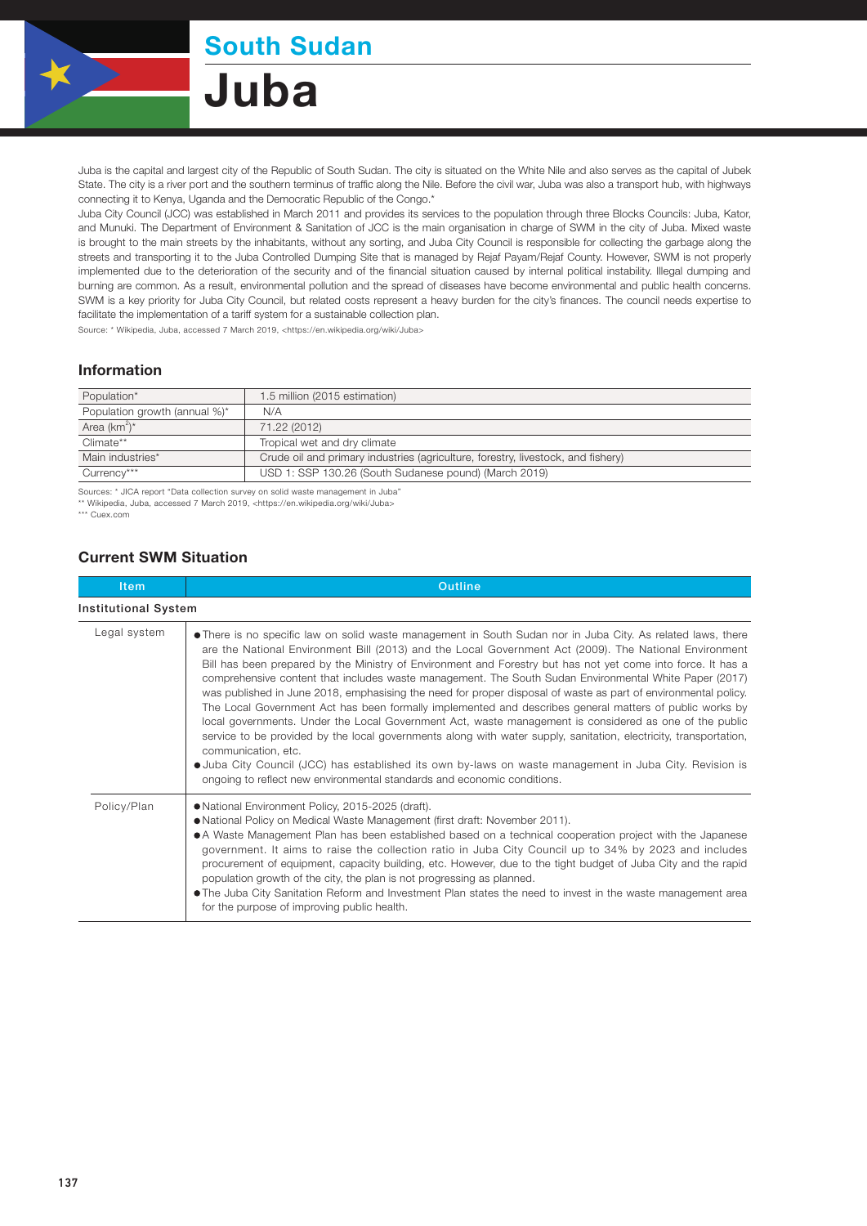

South Sudan

Juba

Juba is the capital and largest city of the Republic of South Sudan. The city is situated on the White Nile and also serves as the capital of Jubek State. The city is a river port and the southern terminus of traffic along the Nile. Before the civil war, Juba was also a transport hub, with highways connecting it to Kenya, Uganda and the Democratic Republic of the Congo.\*

Juba City Council (JCC) was established in March 2011 and provides its services to the population through three Blocks Councils: Juba, Kator, and Munuki. The Department of Environment & Sanitation of JCC is the main organisation in charge of SWM in the city of Juba. Mixed waste is brought to the main streets by the inhabitants, without any sorting, and Juba City Council is responsible for collecting the garbage along the streets and transporting it to the Juba Controlled Dumping Site that is managed by Rejaf Payam/Rejaf County. However, SWM is not properly implemented due to the deterioration of the security and of the financial situation caused by internal political instability. Illegal dumping and burning are common. As a result, environmental pollution and the spread of diseases have become environmental and public health concerns. SWM is a key priority for Juba City Council, but related costs represent a heavy burden for the city's finances. The council needs expertise to facilitate the implementation of a tariff system for a sustainable collection plan.

Source: \* Wikipedia, Juba, accessed 7 March 2019, <https://en.wikipedia.org/wiki/Juba>

## Information

| Population*                   | 1.5 million (2015 estimation)                                                    |
|-------------------------------|----------------------------------------------------------------------------------|
| Population growth (annual %)* | N/A                                                                              |
| Area $(km^2)^*$               | 71.22 (2012)                                                                     |
| Climate**                     | Tropical wet and dry climate                                                     |
| Main industries*              | Crude oil and primary industries (agriculture, forestry, livestock, and fishery) |
| Currency***                   | USD 1: SSP 130.26 (South Sudanese pound) (March 2019)                            |

Sources: \* JICA report "Data collection survey on solid waste management in Juba" \*\* Wikipedia, Juba, accessed 7 March 2019, <https://en.wikipedia.org/wiki/Juba>

\*\*\* Cuex.com

## Current SWM Situation

| <b>Item</b>                 | <b>Outline</b>                                                                                                                                                                                                                                                                                                                                                                                                                                                                                                                                                                                                                                                                                                                                                                                                                                                                                                                                                                                                                                                                                                            |  |  |  |
|-----------------------------|---------------------------------------------------------------------------------------------------------------------------------------------------------------------------------------------------------------------------------------------------------------------------------------------------------------------------------------------------------------------------------------------------------------------------------------------------------------------------------------------------------------------------------------------------------------------------------------------------------------------------------------------------------------------------------------------------------------------------------------------------------------------------------------------------------------------------------------------------------------------------------------------------------------------------------------------------------------------------------------------------------------------------------------------------------------------------------------------------------------------------|--|--|--|
| <b>Institutional System</b> |                                                                                                                                                                                                                                                                                                                                                                                                                                                                                                                                                                                                                                                                                                                                                                                                                                                                                                                                                                                                                                                                                                                           |  |  |  |
| Legal system                | • There is no specific law on solid waste management in South Sudan nor in Juba City. As related laws, there<br>are the National Environment Bill (2013) and the Local Government Act (2009). The National Environment<br>Bill has been prepared by the Ministry of Environment and Forestry but has not yet come into force. It has a<br>comprehensive content that includes waste management. The South Sudan Environmental White Paper (2017)<br>was published in June 2018, emphasising the need for proper disposal of waste as part of environmental policy.<br>The Local Government Act has been formally implemented and describes general matters of public works by<br>local governments. Under the Local Government Act, waste management is considered as one of the public<br>service to be provided by the local governments along with water supply, sanitation, electricity, transportation,<br>communication, etc.<br>• Juba City Council (JCC) has established its own by-laws on waste management in Juba City. Revision is<br>ongoing to reflect new environmental standards and economic conditions. |  |  |  |
| Policy/Plan                 | • National Environment Policy, 2015-2025 (draft).<br>• National Policy on Medical Waste Management (first draft: November 2011).<br>• A Waste Management Plan has been established based on a technical cooperation project with the Japanese<br>government. It aims to raise the collection ratio in Juba City Council up to 34% by 2023 and includes<br>procurement of equipment, capacity building, etc. However, due to the tight budget of Juba City and the rapid<br>population growth of the city, the plan is not progressing as planned.<br>• The Juba City Sanitation Reform and Investment Plan states the need to invest in the waste management area<br>for the purpose of improving public health.                                                                                                                                                                                                                                                                                                                                                                                                          |  |  |  |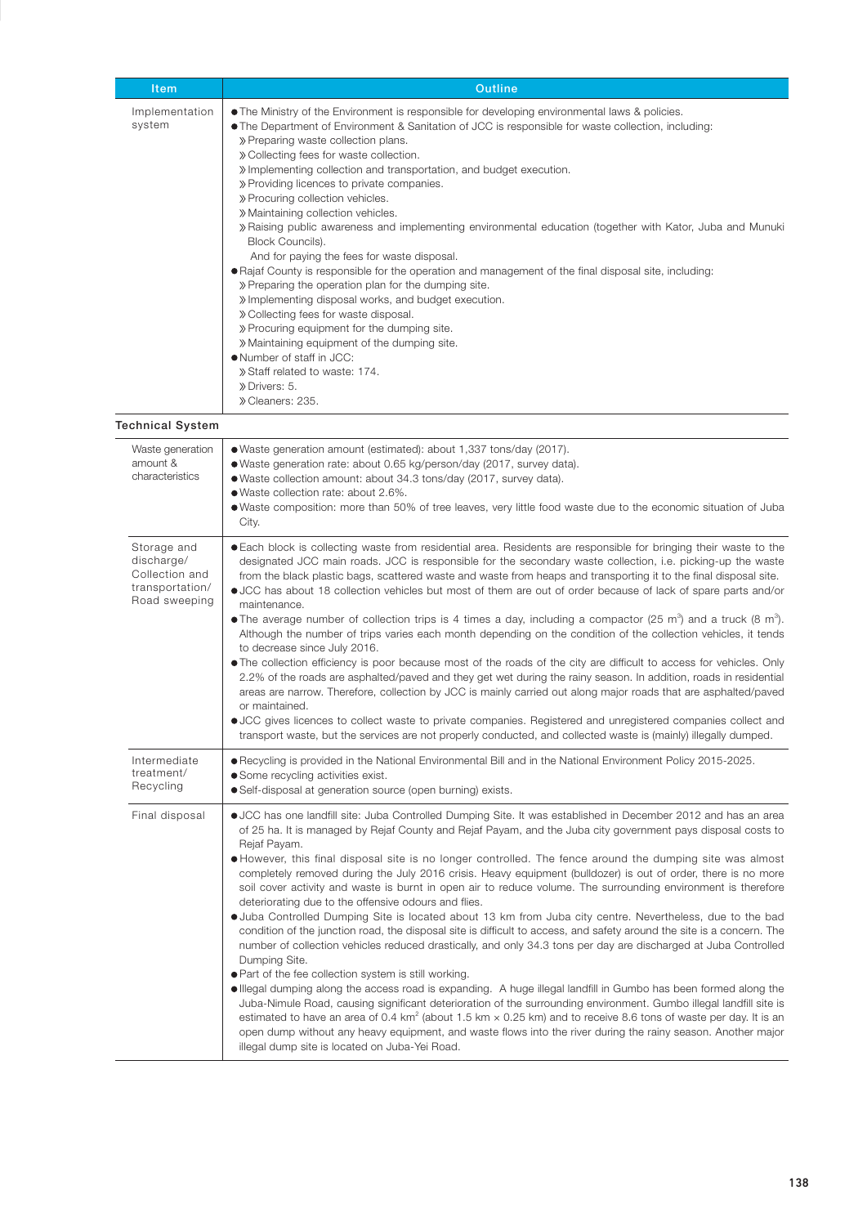| Item                                                                            | <b>Outline</b>                                                                                                                                                                                                                                                                                                                                                                                                                                                                                                                                                                                                                                                                                                                                                                                                                                                                                                                                                                                                                                                                                                                                                                                                                                                                                                                                                                                                                                                                                                                                                                                                                               |  |
|---------------------------------------------------------------------------------|----------------------------------------------------------------------------------------------------------------------------------------------------------------------------------------------------------------------------------------------------------------------------------------------------------------------------------------------------------------------------------------------------------------------------------------------------------------------------------------------------------------------------------------------------------------------------------------------------------------------------------------------------------------------------------------------------------------------------------------------------------------------------------------------------------------------------------------------------------------------------------------------------------------------------------------------------------------------------------------------------------------------------------------------------------------------------------------------------------------------------------------------------------------------------------------------------------------------------------------------------------------------------------------------------------------------------------------------------------------------------------------------------------------------------------------------------------------------------------------------------------------------------------------------------------------------------------------------------------------------------------------------|--|
| Implementation<br>system                                                        | • The Ministry of the Environment is responsible for developing environmental laws & policies.<br>• The Department of Environment & Sanitation of JCC is responsible for waste collection, including:<br>» Preparing waste collection plans.<br>» Collecting fees for waste collection.<br>» Implementing collection and transportation, and budget execution.<br>» Providing licences to private companies.<br>» Procuring collection vehicles.<br>» Maintaining collection vehicles.<br>» Raising public awareness and implementing environmental education (together with Kator, Juba and Munuki<br>Block Councils).<br>And for paying the fees for waste disposal.<br>• Rajaf County is responsible for the operation and management of the final disposal site, including:<br>» Preparing the operation plan for the dumping site.<br>» Implementing disposal works, and budget execution.<br>» Collecting fees for waste disposal.<br>» Procuring equipment for the dumping site.<br>» Maintaining equipment of the dumping site.<br>• Number of staff in JCC:<br>» Staff related to waste: 174.<br>» Drivers: 5.<br>» Cleaners: 235.                                                                                                                                                                                                                                                                                                                                                                                                                                                                                                  |  |
| Technical System                                                                |                                                                                                                                                                                                                                                                                                                                                                                                                                                                                                                                                                                                                                                                                                                                                                                                                                                                                                                                                                                                                                                                                                                                                                                                                                                                                                                                                                                                                                                                                                                                                                                                                                              |  |
| Waste generation<br>amount &<br>characteristics                                 | · Waste generation amount (estimated): about 1,337 tons/day (2017).<br>· Waste generation rate: about 0.65 kg/person/day (2017, survey data).<br>. Waste collection amount: about 34.3 tons/day (2017, survey data).<br>● Waste collection rate: about 2.6%.<br>. Waste composition: more than 50% of tree leaves, very little food waste due to the economic situation of Juba<br>City.                                                                                                                                                                                                                                                                                                                                                                                                                                                                                                                                                                                                                                                                                                                                                                                                                                                                                                                                                                                                                                                                                                                                                                                                                                                     |  |
| Storage and<br>discharge/<br>Collection and<br>transportation/<br>Road sweeping | . Each block is collecting waste from residential area. Residents are responsible for bringing their waste to the<br>designated JCC main roads. JCC is responsible for the secondary waste collection, i.e. picking-up the waste<br>from the black plastic bags, scattered waste and waste from heaps and transporting it to the final disposal site.<br>• JCC has about 18 collection vehicles but most of them are out of order because of lack of spare parts and/or<br>maintenance.<br>• The average number of collection trips is 4 times a day, including a compactor (25 m <sup>3</sup> ) and a truck (8 m <sup>3</sup> ).<br>Although the number of trips varies each month depending on the condition of the collection vehicles, it tends<br>to decrease since July 2016.<br>• The collection efficiency is poor because most of the roads of the city are difficult to access for vehicles. Only<br>2.2% of the roads are asphalted/paved and they get wet during the rainy season. In addition, roads in residential<br>areas are narrow. Therefore, collection by JCC is mainly carried out along major roads that are asphalted/paved<br>or maintained.<br>• JCC gives licences to collect waste to private companies. Registered and unregistered companies collect and<br>transport waste, but the services are not properly conducted, and collected waste is (mainly) illegally dumped.                                                                                                                                                                                                                                    |  |
| Intermediate<br>treatment/<br>Recycling                                         | ● Recycling is provided in the National Environmental Bill and in the National Environment Policy 2015-2025.<br>• Some recycling activities exist.<br>• Self-disposal at generation source (open burning) exists.                                                                                                                                                                                                                                                                                                                                                                                                                                                                                                                                                                                                                                                                                                                                                                                                                                                                                                                                                                                                                                                                                                                                                                                                                                                                                                                                                                                                                            |  |
| Final disposal                                                                  | • JCC has one landfill site: Juba Controlled Dumping Site. It was established in December 2012 and has an area<br>of 25 ha. It is managed by Rejaf County and Rejaf Payam, and the Juba city government pays disposal costs to<br>Rejaf Payam.<br>• However, this final disposal site is no longer controlled. The fence around the dumping site was almost<br>completely removed during the July 2016 crisis. Heavy equipment (bulldozer) is out of order, there is no more<br>soil cover activity and waste is burnt in open air to reduce volume. The surrounding environment is therefore<br>deteriorating due to the offensive odours and flies.<br>• Juba Controlled Dumping Site is located about 13 km from Juba city centre. Nevertheless, due to the bad<br>condition of the junction road, the disposal site is difficult to access, and safety around the site is a concern. The<br>number of collection vehicles reduced drastically, and only 34.3 tons per day are discharged at Juba Controlled<br>Dumping Site.<br>. Part of the fee collection system is still working.<br>. Illegal dumping along the access road is expanding. A huge illegal landfill in Gumbo has been formed along the<br>Juba-Nimule Road, causing significant deterioration of the surrounding environment. Gumbo illegal landfill site is<br>estimated to have an area of 0.4 km <sup>2</sup> (about 1.5 km $\times$ 0.25 km) and to receive 8.6 tons of waste per day. It is an<br>open dump without any heavy equipment, and waste flows into the river during the rainy season. Another major<br>illegal dump site is located on Juba-Yei Road. |  |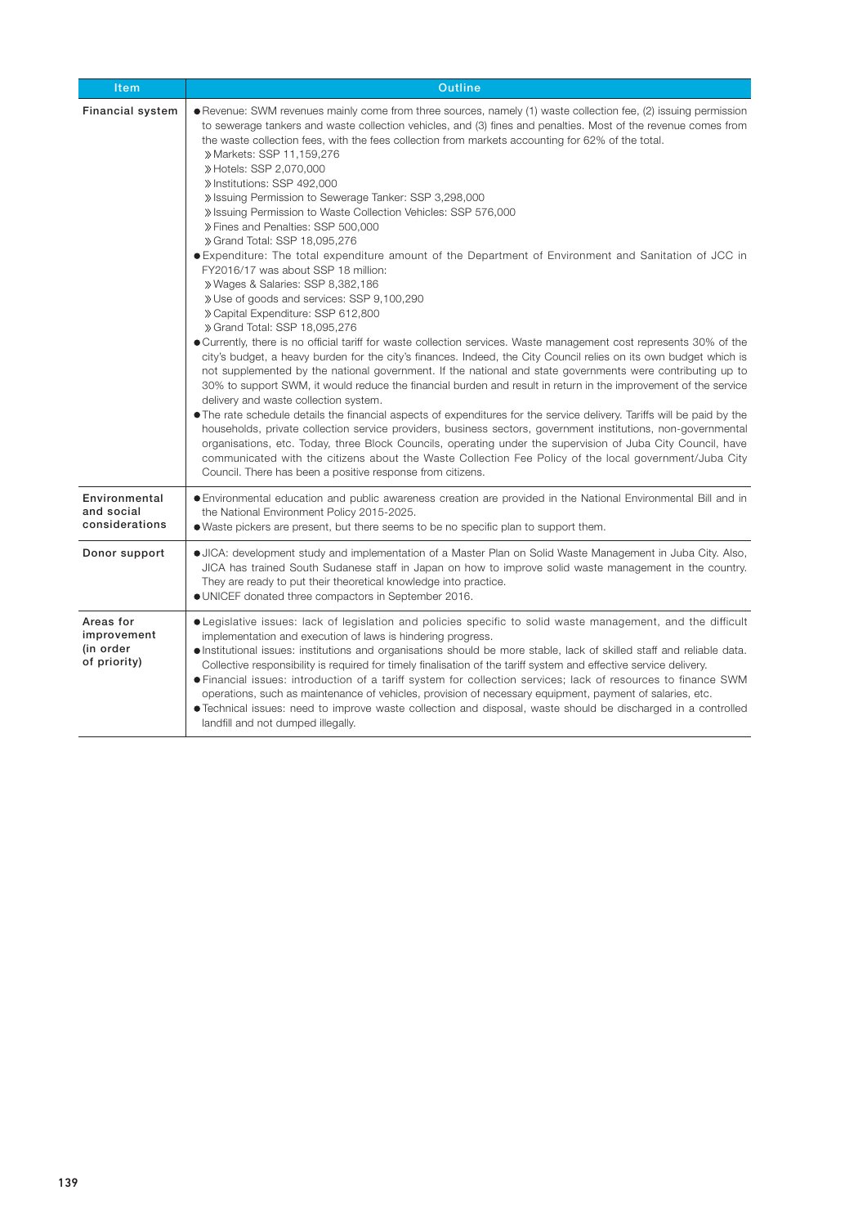| <b>Item</b>                                           | Outline                                                                                                                                                                                                                                                                                                                                                                                                                                                                                                                                                                                                                                                                                                                                                                                                                                                                                                                                                                                                                                                                                                                                                                                                                                                                                                                                                                                                                                                                                                                                                                                                                                                                                                                                                                                                                                                                                                                                                                                             |  |  |  |
|-------------------------------------------------------|-----------------------------------------------------------------------------------------------------------------------------------------------------------------------------------------------------------------------------------------------------------------------------------------------------------------------------------------------------------------------------------------------------------------------------------------------------------------------------------------------------------------------------------------------------------------------------------------------------------------------------------------------------------------------------------------------------------------------------------------------------------------------------------------------------------------------------------------------------------------------------------------------------------------------------------------------------------------------------------------------------------------------------------------------------------------------------------------------------------------------------------------------------------------------------------------------------------------------------------------------------------------------------------------------------------------------------------------------------------------------------------------------------------------------------------------------------------------------------------------------------------------------------------------------------------------------------------------------------------------------------------------------------------------------------------------------------------------------------------------------------------------------------------------------------------------------------------------------------------------------------------------------------------------------------------------------------------------------------------------------------|--|--|--|
| <b>Financial system</b>                               | • Revenue: SWM revenues mainly come from three sources, namely (1) waste collection fee, (2) issuing permission<br>to sewerage tankers and waste collection vehicles, and (3) fines and penalties. Most of the revenue comes from<br>the waste collection fees, with the fees collection from markets accounting for 62% of the total.<br>» Markets: SSP 11,159,276<br>» Hotels: SSP 2,070,000<br>» Institutions: SSP 492,000<br>» Issuing Permission to Sewerage Tanker: SSP 3,298,000<br>» Issuing Permission to Waste Collection Vehicles: SSP 576,000<br>» Fines and Penalties: SSP 500,000<br>» Grand Total: SSP 18,095,276<br>● Expenditure: The total expenditure amount of the Department of Environment and Sanitation of JCC in<br>FY2016/17 was about SSP 18 million:<br>» Wages & Salaries: SSP 8,382,186<br>» Use of goods and services: SSP 9,100,290<br>» Capital Expenditure: SSP 612,800<br>» Grand Total: SSP 18,095,276<br>• Currently, there is no official tariff for waste collection services. Waste management cost represents 30% of the<br>city's budget, a heavy burden for the city's finances. Indeed, the City Council relies on its own budget which is<br>not supplemented by the national government. If the national and state governments were contributing up to<br>30% to support SWM, it would reduce the financial burden and result in return in the improvement of the service<br>delivery and waste collection system.<br>• The rate schedule details the financial aspects of expenditures for the service delivery. Tariffs will be paid by the<br>households, private collection service providers, business sectors, government institutions, non-governmental<br>organisations, etc. Today, three Block Councils, operating under the supervision of Juba City Council, have<br>communicated with the citizens about the Waste Collection Fee Policy of the local government/Juba City<br>Council. There has been a positive response from citizens. |  |  |  |
| Environmental<br>and social<br>considerations         | • Environmental education and public awareness creation are provided in the National Environmental Bill and in<br>the National Environment Policy 2015-2025.<br>• Waste pickers are present, but there seems to be no specific plan to support them.                                                                                                                                                                                                                                                                                                                                                                                                                                                                                                                                                                                                                                                                                                                                                                                                                                                                                                                                                                                                                                                                                                                                                                                                                                                                                                                                                                                                                                                                                                                                                                                                                                                                                                                                                |  |  |  |
| Donor support                                         | • JICA: development study and implementation of a Master Plan on Solid Waste Management in Juba City. Also,<br>JICA has trained South Sudanese staff in Japan on how to improve solid waste management in the country.<br>They are ready to put their theoretical knowledge into practice.<br>.010. UNICEF donated three compactors in September 2016.                                                                                                                                                                                                                                                                                                                                                                                                                                                                                                                                                                                                                                                                                                                                                                                                                                                                                                                                                                                                                                                                                                                                                                                                                                                                                                                                                                                                                                                                                                                                                                                                                                              |  |  |  |
| Areas for<br>improvement<br>(in order<br>of priority) | • Legislative issues: lack of legislation and policies specific to solid waste management, and the difficult<br>implementation and execution of laws is hindering progress.<br>• Institutional issues: institutions and organisations should be more stable, lack of skilled staff and reliable data.<br>Collective responsibility is required for timely finalisation of the tariff system and effective service delivery.<br>. Financial issues: introduction of a tariff system for collection services; lack of resources to finance SWM<br>operations, such as maintenance of vehicles, provision of necessary equipment, payment of salaries, etc.<br>• Technical issues: need to improve waste collection and disposal, waste should be discharged in a controlled<br>landfill and not dumped illegally.                                                                                                                                                                                                                                                                                                                                                                                                                                                                                                                                                                                                                                                                                                                                                                                                                                                                                                                                                                                                                                                                                                                                                                                     |  |  |  |